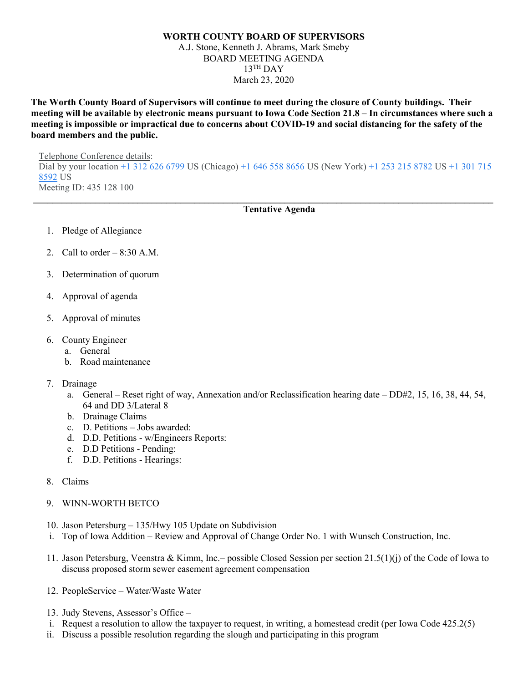## **WORTH COUNTY BOARD OF SUPERVISORS** A.J. Stone, Kenneth J. Abrams, Mark Smeby BOARD MEETING AGENDA  $13$ <sup>TH</sup> DAY March 23, 2020

**The Worth County Board of Supervisors will continue to meet during the closure of County buildings. Their meeting will be available by electronic means pursuant to Iowa Code Section 21.8 – In circumstances where such a meeting is impossible or impractical due to concerns about COVID-19 and social distancing for the safety of the board members and the public.** 

Telephone Conference details: Dial by your location  $\pm 1$  312 626 6799 US (Chicago)  $\pm 1$  646 558 8656 US (New York)  $\pm 1$  253 215 8782 US  $\pm 1$  301 715 [8592](tel:+1%20301%20715%208592) US Meeting ID: 435 128 100

**\_\_\_\_\_\_\_\_\_\_\_\_\_\_\_\_\_\_\_\_\_\_\_\_\_\_\_\_\_\_\_\_\_\_\_\_\_\_\_\_\_\_\_\_\_\_\_\_\_\_\_\_\_\_\_\_\_\_\_\_\_\_\_\_\_\_\_\_\_\_\_\_\_\_\_\_\_\_\_\_\_\_\_\_\_\_\_\_\_\_\_\_\_\_\_\_\_**

## **Tentative Agenda**

- 1. Pledge of Allegiance
- 2. Call to order  $-8:30$  A.M.
- 3. Determination of quorum
- 4. Approval of agenda
- 5. Approval of minutes
- 6. County Engineer
	- a. General
	- b. Road maintenance
- 7. Drainage
	- a. General Reset right of way, Annexation and/or Reclassification hearing date DD#2, 15, 16, 38, 44, 54, 64 and DD 3/Lateral 8
	- b. Drainage Claims
	- c. D. Petitions Jobs awarded:
	- d. D.D. Petitions w/Engineers Reports:
	- e. D.D Petitions Pending:
	- f. D.D. Petitions Hearings:
- 8. Claims
- 9. WINN-WORTH BETCO
- 10. Jason Petersburg 135/Hwy 105 Update on Subdivision
- i. Top of Iowa Addition Review and Approval of Change Order No. 1 with Wunsch Construction, Inc.
- 11. Jason Petersburg, Veenstra & Kimm, Inc.– possible Closed Session per section 21.5(1)(j) of the Code of Iowa to discuss proposed storm sewer easement agreement compensation
- 12. PeopleService Water/Waste Water
- 13. Judy Stevens, Assessor's Office –
- i. Request a resolution to allow the taxpayer to request, in writing, a homestead credit (per Iowa Code 425.2(5)
- ii. Discuss a possible resolution regarding the slough and participating in this program